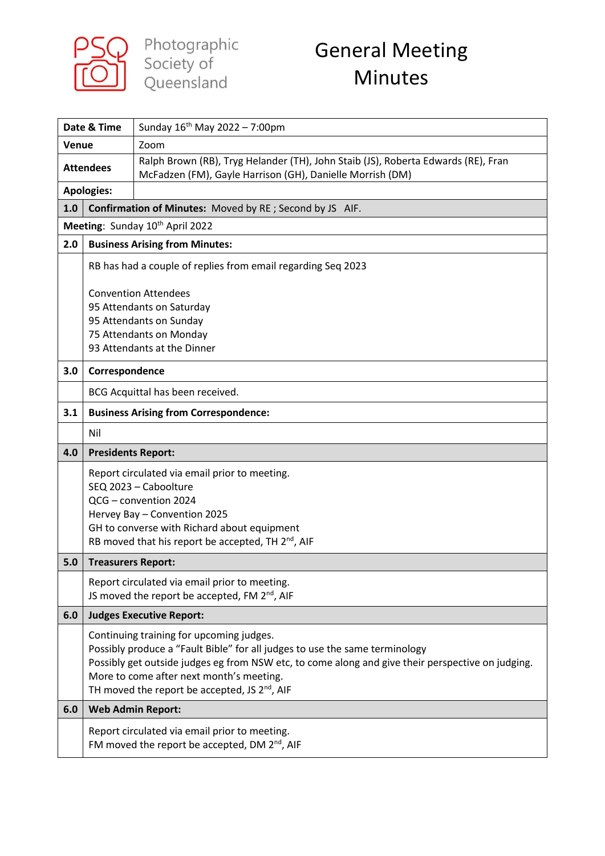

Photographic<br>Society of<br>Queensland

## General Meeting Minutes

| Date & Time                                                    |                                                                                                                                               | Sunday 16 <sup>th</sup> May 2022 - 7:00pm                                                                                                                                                                                                                                                                                             |
|----------------------------------------------------------------|-----------------------------------------------------------------------------------------------------------------------------------------------|---------------------------------------------------------------------------------------------------------------------------------------------------------------------------------------------------------------------------------------------------------------------------------------------------------------------------------------|
| Venue                                                          |                                                                                                                                               | Zoom                                                                                                                                                                                                                                                                                                                                  |
| <b>Attendees</b>                                               |                                                                                                                                               | Ralph Brown (RB), Tryg Helander (TH), John Staib (JS), Roberta Edwards (RE), Fran<br>McFadzen (FM), Gayle Harrison (GH), Danielle Morrish (DM)                                                                                                                                                                                        |
| <b>Apologies:</b>                                              |                                                                                                                                               |                                                                                                                                                                                                                                                                                                                                       |
| 1.0<br>Confirmation of Minutes: Moved by RE; Second by JS AIF. |                                                                                                                                               |                                                                                                                                                                                                                                                                                                                                       |
| Meeting: Sunday 10th April 2022                                |                                                                                                                                               |                                                                                                                                                                                                                                                                                                                                       |
| 2.0                                                            | <b>Business Arising from Minutes:</b>                                                                                                         |                                                                                                                                                                                                                                                                                                                                       |
|                                                                |                                                                                                                                               | RB has had a couple of replies from email regarding Seq 2023                                                                                                                                                                                                                                                                          |
|                                                                | <b>Convention Attendees</b><br>95 Attendants on Saturday<br>95 Attendants on Sunday<br>75 Attendants on Monday<br>93 Attendants at the Dinner |                                                                                                                                                                                                                                                                                                                                       |
| 3.0                                                            | Correspondence                                                                                                                                |                                                                                                                                                                                                                                                                                                                                       |
|                                                                | BCG Acquittal has been received.                                                                                                              |                                                                                                                                                                                                                                                                                                                                       |
| 3.1                                                            | <b>Business Arising from Correspondence:</b>                                                                                                  |                                                                                                                                                                                                                                                                                                                                       |
|                                                                | Nil                                                                                                                                           |                                                                                                                                                                                                                                                                                                                                       |
| 4.0                                                            | <b>Presidents Report:</b>                                                                                                                     |                                                                                                                                                                                                                                                                                                                                       |
|                                                                |                                                                                                                                               | Report circulated via email prior to meeting.<br>SEQ 2023 - Caboolture<br>QCG - convention 2024<br>Hervey Bay - Convention 2025<br>GH to converse with Richard about equipment<br>RB moved that his report be accepted, TH 2 <sup>nd</sup> , AIF                                                                                      |
| 5.0                                                            | <b>Treasurers Report:</b>                                                                                                                     |                                                                                                                                                                                                                                                                                                                                       |
|                                                                |                                                                                                                                               | Report circulated via email prior to meeting.<br>JS moved the report be accepted, FM 2 <sup>nd</sup> , AIF                                                                                                                                                                                                                            |
| 6.0                                                            | <b>Judges Executive Report:</b>                                                                                                               |                                                                                                                                                                                                                                                                                                                                       |
|                                                                |                                                                                                                                               | Continuing training for upcoming judges.<br>Possibly produce a "Fault Bible" for all judges to use the same terminology<br>Possibly get outside judges eg from NSW etc, to come along and give their perspective on judging.<br>More to come after next month's meeting.<br>TH moved the report be accepted, JS 2 <sup>nd</sup> , AIF |
| 6.0                                                            |                                                                                                                                               | <b>Web Admin Report:</b>                                                                                                                                                                                                                                                                                                              |
|                                                                |                                                                                                                                               | Report circulated via email prior to meeting.<br>FM moved the report be accepted, DM 2 <sup>nd</sup> , AIF                                                                                                                                                                                                                            |